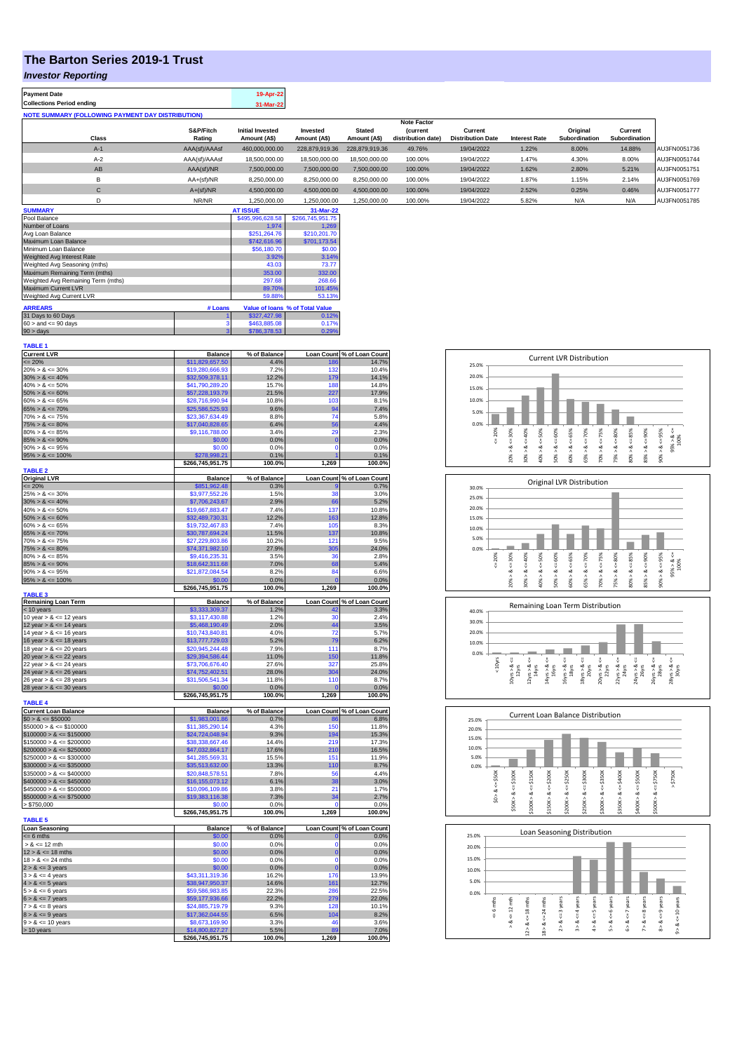## **The Barton Series 2019-1 Trust**

## *Investor Reporting*

| <b>Payment Date</b>                                      | 19-Apr-22 |
|----------------------------------------------------------|-----------|
| <b>Collections Period ending</b>                         | 31-Mar-22 |
| <b>NOTE SUMMARY (FOLLOWING PAYMENT DAY DISTRIBUTION)</b> |           |
|                                                          |           |

|              |               | <b>Note Factor</b>      |                |                |                    |                          |                      |               |               |              |
|--------------|---------------|-------------------------|----------------|----------------|--------------------|--------------------------|----------------------|---------------|---------------|--------------|
|              | S&P/Fitch     | <b>Initial Invested</b> | Invested       | <b>Stated</b>  | <b>Current</b>     | Current                  |                      | Original      | Current       |              |
| <b>Class</b> | Rating        | Amount (A\$)            | Amount (A\$)   | Amount (A\$)   | distribution date) | <b>Distribution Date</b> | <b>Interest Rate</b> | Subordination | Subordination |              |
| $A-1$        | AAA(sf)/AAAsf | 460,000,000.00          | 228.879.919.36 | 228.879.919.36 | 49.76%             | 19/04/2022               | 1.22%                | 8.00%         | 14.88%        | AU3FN0051736 |
| $A-2$        | AAA(sf)/AAAsf | 18,500,000.00           | 18,500,000.00  | 18,500,000.00  | 100.00%            | 19/04/2022               | 1.47%                | 4.30%         | 8.00%         | AU3FN0051744 |
| AB           | AAA(sf)/NR    | 7,500,000.00            | 7.500.000.00   | 7.500.000.00   | 100.00%            | 19/04/2022               | 1.62%                | 2.80%         | 5.21%         | AU3FN0051751 |
| в            | $AA+(sf)/NR$  | 8,250,000.00            | 8,250,000.00   | 8,250,000.00   | 100.00%            | 19/04/2022               | 1.87%                | 1.15%         | 2.14%         | AU3FN0051769 |
| $\mathsf{C}$ | $A+(sf)/NR$   | 4,500,000.00            | 4,500,000.00   | 4,500,000.00   | 100.00%            | 19/04/2022               | 2.52%                | 0.25%         | 0.46%         | AU3FN0051777 |
|              | NR/NR         | 1,250,000.00            | 1,250,000.00   | 1,250,000.00   | 100.00%            | 19/04/2022               | 5.82%                | N/A           | N/A           | AU3FN0051785 |
| ------------ |               | -----------             |                |                |                    |                          |                      |               |               |              |

| <b>SUMMARY</b>                     |         | <b>AT ISSUE</b>  | 31-Mar-22                       |
|------------------------------------|---------|------------------|---------------------------------|
| Pool Balance                       |         | \$495,996,628.58 | \$266,745,951.75                |
| Number of Loans                    |         | 1.974            | 1.269                           |
| Avg Loan Balance                   |         | \$251.264.76     | \$210,201.70                    |
| Maximum Loan Balance               |         | \$742,616.96     | \$701,173.54                    |
| Minimum Loan Balance               |         | \$56,180.70      | \$0.00                          |
| Weighted Avg Interest Rate         |         | 3.92%            | 3.14%                           |
| Weighted Avg Seasoning (mths)      |         | 43.03            | 73.77                           |
| Maximum Remaining Term (mths)      |         | 353.00           | 332.00                          |
| Weighted Avg Remaining Term (mths) |         | 297.68           | 268.66                          |
| Maximum Current LVR                |         | 89.70%           | 101.45%                         |
| Weighted Avg Current LVR           |         | 59.88%           | 53.13%                          |
| <b>ARREARS</b>                     | # Loans |                  | Value of Ioans % of Total Value |
| 31 Days to 60 Days                 |         | \$327,427.98     | 0.12%                           |
| $60 >$ and $\leq 90$ days          |         | \$463,885,08     | 0.17%                           |
| $90 > \text{days}$                 | 3       | \$786,378,53     | 0.29%                           |

| <b>TABLE 1</b>                                           |                                    |                |                            |                            |
|----------------------------------------------------------|------------------------------------|----------------|----------------------------|----------------------------|
| <b>Current LVR</b>                                       | <b>Balance</b>                     | % of Balance   |                            | Loan Count % of Loan Count |
| $= 20%$                                                  | \$11,829,657.50                    | 4.4%           | 186                        | 14.7%                      |
| $20\% > 8 \le 30\%$                                      | \$19,280,666.93                    | 7.2%           | 132                        | 10.4%                      |
| $30\% > 8 \le 40\%$                                      | \$32,509,378.11                    | 12.2%          | 179                        | 14.1%                      |
| $40\% > 8 \le 50\%$                                      | \$41,790,289.20                    | 15.7%          | 188                        | 14.8%                      |
| $50\% > 8 \le 60\%$                                      | \$57,228,193.79                    | 21.5%          | 227                        | 17.9%                      |
| $60\% > 8 \le 65\%$                                      | \$28,716,990.94                    | 10.8%          | 103                        | 8.1%                       |
| $65\% > 8 \le 70\%$                                      | \$25,586,525.93                    | 9.6%           | 94                         | 7.4%                       |
| $70\% > 8 \le 75\%$                                      | \$23,367,634,49                    | 8.8%           | 74                         | 5.8%                       |
| $75\% > 8 \le 80\%$                                      | \$17,040,828.65                    | 6.4%           | 56                         | 4.4%                       |
| $80\% > 8 \le 85\%$                                      | \$9,116,788.00                     | 3.4%           | 29                         | 2.3%                       |
| $85\% > 8 \le 90\%$                                      | \$0.00                             | 0.0%           | $\overline{0}$<br>$\Omega$ | 0.0%                       |
| $90\% > 8 \le 95\%$                                      | \$0.00                             | 0.0%           |                            | 0.0%                       |
| $95\% > 8 \le 100\%$                                     | \$278,998.21                       | 0.1%           |                            | 0.1%                       |
| <b>TABLE 2</b>                                           | \$266,745,951.75                   | 100.0%         | 1,269                      | 100.0%                     |
| <b>Original LVR</b>                                      | <b>Balance</b>                     | % of Balance   |                            | Loan Count % of Loan Count |
| $= 20%$                                                  | \$851,962.48                       | 0.3%           |                            | 0.7%                       |
| $25\% > 8 \le 30\%$                                      | \$3,977,552.26                     | 1.5%           | 38                         | 3.0%                       |
| $30\% > 8 \le 40\%$                                      | \$7,706,243.67                     | 2.9%           | 66                         | 5.2%                       |
| $40\% > 8 \le 50\%$                                      | \$19,667,883.47                    | 7.4%           | 137                        | 10.8%                      |
| $50\% > 8 \le 60\%$                                      | \$32,489,730.31                    | 12.2%          | 163                        | 12.8%                      |
| $60\% > 8 \le 65\%$                                      | \$19,732,467.83                    | 7.4%           | 105                        | 8.3%                       |
| $65\% > 8 \le 70\%$                                      | \$30.787.694.24                    | 11.5%          | 137                        | 10.8%                      |
| $70\% > 8 \le 75\%$                                      | \$27.229.803.86                    | 10.2%          | 121                        | 9.5%                       |
| $75\% > 8 \le 80\%$                                      | \$74,371,982.10                    | 27.9%          | 305                        | 24.0%                      |
| $80\% > 8 \le 85\%$                                      | \$9,416,235.31                     | 3.5%           | 36                         | 2.8%                       |
| $85\% > 8 \le 90\%$                                      | \$18,642,311.68                    | 7.0%           | 68                         | 5.4%                       |
| $90\% > 8 \le 95\%$                                      | \$21,872,084.54                    | 8.2%           | 84                         | 6.6%                       |
| $95\% > 8 \le 100\%$                                     | \$0.00                             | 0.0%           | $\mathbf 0$                | 0.0%                       |
|                                                          | \$266,745,951.75                   | 100.0%         | 1,269                      | 100.0%                     |
| <b>TABLE 3</b>                                           |                                    |                |                            |                            |
| Remaining Loan Term                                      | <b>Balance</b>                     | % of Balance   |                            | Loan Count % of Loan Count |
| < 10 years                                               | \$3,333,309.37                     | 1.2%           | 42                         | 3.3%                       |
| 10 year $> 8 \le 12$ years                               | \$3,117,430.88                     | 1.2%           | 30<br>44                   | 2.4%                       |
| 12 year $> 8 \le 14$ years                               | \$5,468,190.49                     | 2.0%<br>4.0%   | 72                         | 3.5%                       |
| 14 year $> 8 \le 16$ years                               | \$10,743,840.81                    | 5.2%           | 79                         | 5.7%<br>6.2%               |
| 16 year $> 8 \le 18$ years<br>18 year $> 8 \le 20$ years | \$13,777,729.03<br>\$20,945,244.48 | 7.9%           | 111                        | 8.7%                       |
|                                                          |                                    |                |                            | 11.8%                      |
| 20 year $> 8 \le 22$ years<br>22 year $> 8 < 24$ years   | \$29,394,586.44<br>\$73,706,676.40 | 11.0%<br>27.6% | 150<br>327                 | 25.8%                      |
|                                                          |                                    | 28.0%          | 304                        | 24.0%                      |
| 24 year $> 8 \le 26$ years                               | \$74,752,402.51                    |                |                            | 8.7%                       |
| 26 year > & <= 28 years<br>28 year $> 8 \le 30$ years    | \$31,506,541.34                    | 11.8%<br>0.0%  | 110<br>$\overline{0}$      | 0.0%                       |
|                                                          | \$0.00<br>\$266,745,951.75         | 100.0%         | 1,269                      | 100.0%                     |
| <b>TABLE 4</b>                                           |                                    |                |                            |                            |
| <b>Current Loan Balance</b>                              | <b>Balance</b>                     | % of Balance   |                            | Loan Count % of Loan Count |
| $$0 > 8 \le $50000$                                      | \$1,983,001.86                     | 0.7%           | 86                         | 6.8%                       |
| $$50000 > 8 \le $100000$                                 | \$11,385,290.14                    | 4.3%           | 150                        | 11.8%                      |
| $$100000 > 8 \le $150000$                                | \$24,724,048.94                    | 9.3%           | 194                        | 15.3%                      |
| $$150000 > 8 \le $200000$                                | \$38,338,667.46                    | 14.4%          | 219                        | 17.3%                      |
| $$200000 > 8 \leq $250000$                               | \$47,032,864.17                    | 17.6%          | 210                        | 16.5%                      |
| $$250000 > 8 \leq $300000$                               | \$41,285,569.31                    | 15.5%          | 151                        | 11.9%                      |
| $$300000 > 8 \leq $350000$                               | \$35,513,632.00                    | 13.3%          | 110                        | 8.7%                       |
| $$350000 > 8 \leq $400000$                               | \$20,848,578.51                    | 7.8%           | 56                         | 4.4%                       |
| $$400000 > 8 \leq $450000$                               | \$16,155,073.12                    | 6.1%           | 38                         | 3.0%                       |
| $$450000 > 8 \le $500000$                                | \$10,096,109.86                    | 3.8%           | 21                         | 1.7%                       |
| $$500000 > 8 \le $750000$                                | \$19,383,116.38                    | 7.3%           | 34                         | 2.7%                       |
| > \$750,000                                              | \$0.00                             | 0.0%           | Ò                          | 0.0%                       |
|                                                          | \$266,745,951.75                   | 100.0%         | 1,269                      | 100.0%                     |
| <b>TABLE 5</b>                                           |                                    |                |                            |                            |
| <b>Loan Seasoning</b>                                    | <b>Balance</b>                     | % of Balance   |                            | Loan Count % of Loan Count |
| $= 6$ mths                                               | \$0.00                             | 0.0%           | 0<br>$\overline{0}$        | 0.0%                       |
| $> 8 \le 12$ mth                                         | \$0.00                             | 0.0%           |                            | 0.0%                       |
| $12 > 8 \le 18$ mths                                     | \$0.00                             | 0.0%           | $\mathbf{0}$               | 0.0%                       |
| $18 > 8 \le 24$ mths                                     | \$0.00                             | 0.0%           | $\Omega$<br>$\overline{0}$ | 0.0%                       |
| $2 > 8 \le 3$ years                                      | \$0.00                             | 0.0%           |                            | 0.0%                       |
| $3 > 8 \le 4$ years                                      | \$43,311,319.36                    | 16.2%          | 176                        | 13.9%                      |
| $4 > 8 \le 5$ years                                      | \$38,947,950.37                    | 14.6%          | 161                        | 12.7%                      |
| $5 > 8 \le 6$ years                                      | \$59,586,983.85                    | 22.3%          | 286                        | 22.5%                      |
| $6 > 8 \le 7$ years                                      | \$59,177,936.66                    | 22.2%          | 279                        | 22.0%                      |
| $7 > 8 \le 8$ years                                      | \$24,885,719.79                    | 9.3%           | 128<br>104                 | 10.1%<br>8.2%              |
| $8 > 8 \le 9$ years<br>$9 > 8 \le 10$ years              | \$17,362,044.55<br>\$8,673,169.90  | 6.5%<br>3.3%   | 46                         | 3.6%                       |
| > 10 years                                               | \$14,800,827.27                    | 5.5%           | 89                         | 7.0%                       |
|                                                          |                                    |                |                            |                            |
|                                                          | \$266,745,951.75                   | 100.0%         | 1,269                      | 100.0%                     |









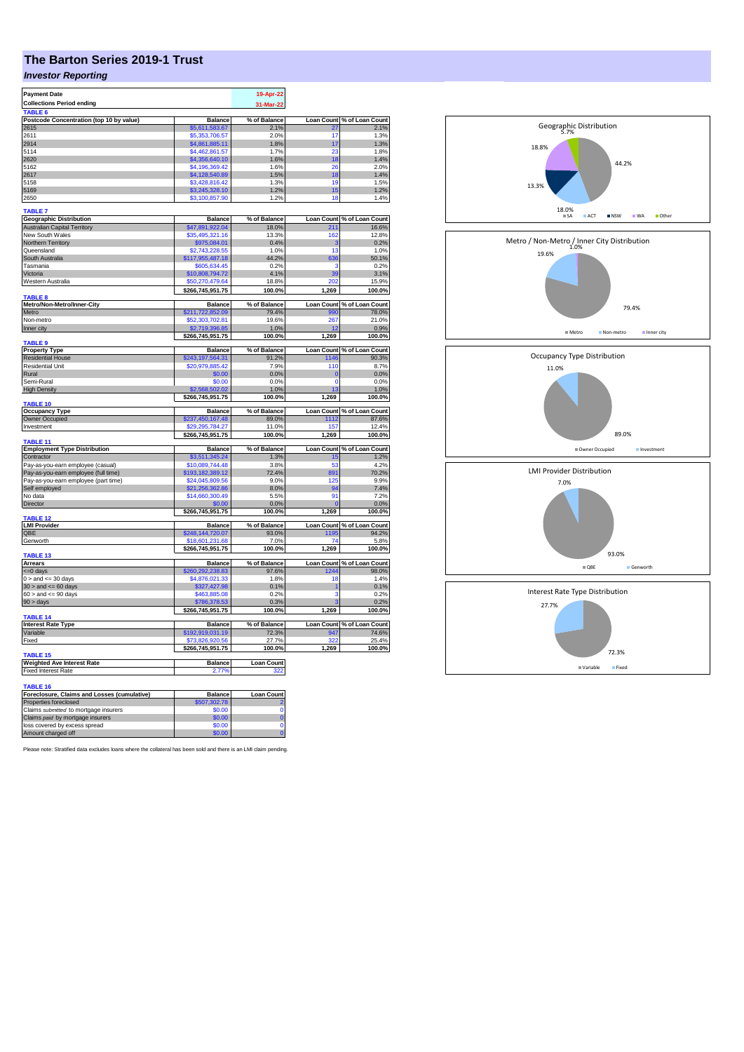## **The Barton Series 2019-1 Trust**

## *Investor Reporting*

| <b>Payment Date</b>                              |                                     | 19-Apr-22                |                   |                                     |
|--------------------------------------------------|-------------------------------------|--------------------------|-------------------|-------------------------------------|
| <b>Collections Period ending</b>                 |                                     |                          |                   |                                     |
| TABLE <sub>6</sub>                               |                                     | 31-Mar-22                |                   |                                     |
|                                                  | <b>Balance</b>                      | % of Balance             | <b>Loan Count</b> | % of Loan Count                     |
| Postcode Concentration (top 10 by value)<br>2615 | \$5,611,583,67                      | 2.1%                     | 27                | 2.1%                                |
| 2611                                             | \$5,353,706.57                      | 2.0%                     | 17                | 1.3%                                |
| 2914                                             | \$4.861.885.11                      | 1.8%                     | 17                | 1.3%                                |
| 5114                                             | \$4,462,861.57                      | 1.7%                     | 23                | 1.8%                                |
| 2620                                             | \$4,356,640.10                      | 1.6%                     | 18                | 1.4%                                |
| 5162                                             | \$4,196,369.42                      | 1.6%                     | 26                | 2.0%                                |
|                                                  |                                     |                          |                   |                                     |
| 2617<br>5158                                     | \$4,128,540.89<br>\$3,428,816.42    | 1.5%<br>1.3%             | 18<br>19          | 1.4%<br>1.5%                        |
|                                                  |                                     |                          |                   | 1.2%                                |
| 5169                                             | \$3,245,328.10<br>\$3,100,857.90    | 1.2%<br>1.2%             | 15<br>18          | 1.4%                                |
| 2650                                             |                                     |                          |                   |                                     |
| <b>TABLE 7</b>                                   |                                     |                          |                   |                                     |
| <b>Geographic Distribution</b>                   | <b>Balance</b>                      | % of Balance             |                   | Loan Count % of Loan Count          |
| <b>Australian Capital Territory</b>              | \$47,891,922.04                     | 18.0%                    | 211               | 16.6%                               |
| New South Wales                                  | \$35,495,321.16                     | 13.3%                    | 162               | 12.8%                               |
| Northern Territory                               | \$975,084.01                        | 0.4%                     | 3                 | 0.2%                                |
| Queensland                                       | \$2,743,228.55                      | 1.0%                     | 13                | 1.0%                                |
| South Australia                                  | \$117,955,487.18                    | 44.2%                    | 636               | 50.1%                               |
| Tasmania                                         |                                     | 0.2%                     | з                 | 0.2%                                |
| Victoria                                         | \$605,634.45                        | 4.1%                     | 39                | 3.1%                                |
|                                                  | 10,808,794.72                       |                          |                   |                                     |
| Western Australia                                | \$50,270,479.64                     | 18.8%                    | 202               | 15.9%                               |
|                                                  | \$266,745,951.75                    | 100.0%                   | 1,269             | 100.0%                              |
| <b>TABLE 8</b>                                   |                                     |                          |                   |                                     |
| Metro/Non-Metro/Inner-City                       | <b>Balance</b>                      | % of Balance             | <b>Loan Count</b> | % of Loan Count                     |
| Metro                                            | \$211,722,852.09                    | 79.4%                    | 990               | 78.0%                               |
| Non-metro                                        | \$52,303,702.81                     | 19.6%                    | 267               | 21.0%                               |
| Inner city                                       | \$2,719,396.85                      | 1.0%                     | 12                | 0.9%                                |
| TABLE <sub>9</sub>                               | \$266,745,951.75                    | 100.0%                   | 1,269             | 100.0%                              |
|                                                  |                                     |                          |                   |                                     |
| <b>Property Type</b>                             | <b>Balance</b>                      | % of Balance             |                   | Loan Count % of Loan Count          |
| <b>Residential House</b>                         | \$243,197,564.31                    | 91.2%                    | 1146              | 90.3%                               |
| <b>Residential Unit</b>                          | \$20,979,885.42                     | 7.9%                     | 110               | 8.7%                                |
| Rural                                            | \$0.00                              | 0.0%                     | $\mathbf 0$       | 0.0%                                |
| Semi-Rural                                       | \$0.00                              | 0.0%                     | $\mathbf 0$       | 0.0%                                |
| <b>High Density</b>                              | \$2,568,502.02                      | 1.0%                     | 13                | 1.0%                                |
|                                                  | \$266,745,951.75                    | 100.0%                   | 1,269             | 100.0%                              |
| TABLE 10                                         |                                     |                          |                   |                                     |
| <b>Occupancy Type</b>                            | <b>Balance</b>                      | % of Balance             |                   | Loan Count % of Loan Count          |
| Owner Occupied                                   | \$237,450,167.48                    | 89.0%                    | 1112              | 87.6%                               |
| Investment                                       | 29,295,784.27                       | 11.0%                    | 157               | 12.4%                               |
|                                                  | \$266,745,951.75                    | 100.0%                   | 1,269             | 100.0%                              |
| <b>TABLE 11</b>                                  |                                     |                          |                   |                                     |
| <b>Employment Type Distribution</b>              | <b>Balance</b>                      | % of Balance             | <b>Loan Count</b> | % of Loan Count                     |
| Contractor                                       | \$3,511,345.24                      | 1.3%                     | 15                | 1.2%                                |
| Pay-as-you-earn employee (casual)                | \$10.089.744.48                     | 3.8%                     | 53                | 4.2%                                |
| Pay-as-you-earn employee (full time)             | \$193,182,389.12                    | 72.4%                    | 891               | 70.2%                               |
| Pay-as-you-earn employee (part time)             | \$24,045,809.56                     | 9.0%                     | 125               | $Q$ $Q$ %                           |
| Self employed                                    | \$21,256,362.86                     | 8.0%                     | 94                | 7.4%                                |
| No data                                          | \$14,660,300.49                     | 5.5%                     | 91                | 7.2%                                |
| Director                                         | \$0.00                              | 0.0%                     |                   | 0.0%                                |
|                                                  | \$266,745,951.75                    | 100.0%                   | 1,269             | 100.0%                              |
| TABLE 12                                         |                                     |                          |                   |                                     |
| <b>LMI Provider</b>                              | <b>Balance</b>                      | % of Balance             |                   | Loan Count % of Loan Count          |
| QBE                                              | \$248,144,720.07                    | 93.0%                    | 1195              | 94.2%                               |
| Genworth                                         | \$18,601,231.68                     | 7.0%                     | 74                | 5.8%                                |
|                                                  | \$266,745,951.75                    | 100.0%                   | 1,269             | 100.0%                              |
| <b>TABLE 13</b><br><b>Arrears</b>                |                                     | % of Balance             |                   |                                     |
|                                                  | <b>Balance</b>                      |                          | 244               | Loan Count % of Loan Count          |
| <= 0 days                                        | \$260,292,238.83                    | 97.6%<br>1.8%            |                   | 98.0%<br>1.4%                       |
| $0 >$ and $\leq$ 30 days                         | \$4,876,021,33                      |                          | 18                |                                     |
| $30 >$ and $\leq 60$ days                        | \$327,427.98                        | 0.1%                     | 1<br>3            | 0.1%                                |
| $60 >$ and $\leq 90$ days                        | \$463,885.08                        | 0.2%                     | ä                 | 0.2%                                |
| 90 > days                                        | \$786,378.53                        | 0.3%                     |                   | 0.2%                                |
| TABLE 14                                         | \$266,745,951.75                    | 100.0%                   | 1,269             | 100.0%                              |
|                                                  |                                     |                          |                   |                                     |
| <b>Interest Rate Type</b><br>Variable            | <b>Balance</b>                      | % of Balance<br>72.3%    |                   | Loan Count % of Loan Count<br>74.6% |
| Fixed                                            | \$192,919,031.19<br>\$73,826,920.56 | 27.7%                    | 947<br>322        | 25.4%                               |
|                                                  |                                     | 100.0%                   | 1.269             |                                     |
|                                                  | \$266,745,951.75                    |                          |                   | 100.0%                              |
| <b>TABLE 15</b>                                  | <b>Balance</b>                      |                          |                   |                                     |
| <b>Weighted Ave Interest Rate</b>                | 2.77%                               | <b>Loan Count</b><br>322 |                   |                                     |
| <b>Fixed Interest Rate</b>                       |                                     |                          |                   |                                     |
|                                                  |                                     |                          |                   |                                     |
| <b>TABLE 16</b>                                  |                                     |                          |                   |                                     |
| Foreclosure, Claims and Losses (cumulative)      | <b>Balance</b>                      | <b>Loan Count</b>        |                   |                                     |
| Properties foreclosed                            | 07,302.78                           |                          |                   |                                     |
| Claims submitted to mortgage insurers            | \$0.00                              | C                        |                   |                                     |
| Claims paid by mortgage insurers                 | \$0.00                              | $\overline{0}$           |                   |                                     |
| loss covered by excess spread                    | \$0.00                              | $\Omega$                 |                   |                                     |
| Amount charged off                               | 60.00                               |                          |                   |                                     |

Please note: Stratified data excludes loans where the collateral has been sold and there is an LMI claim pending.